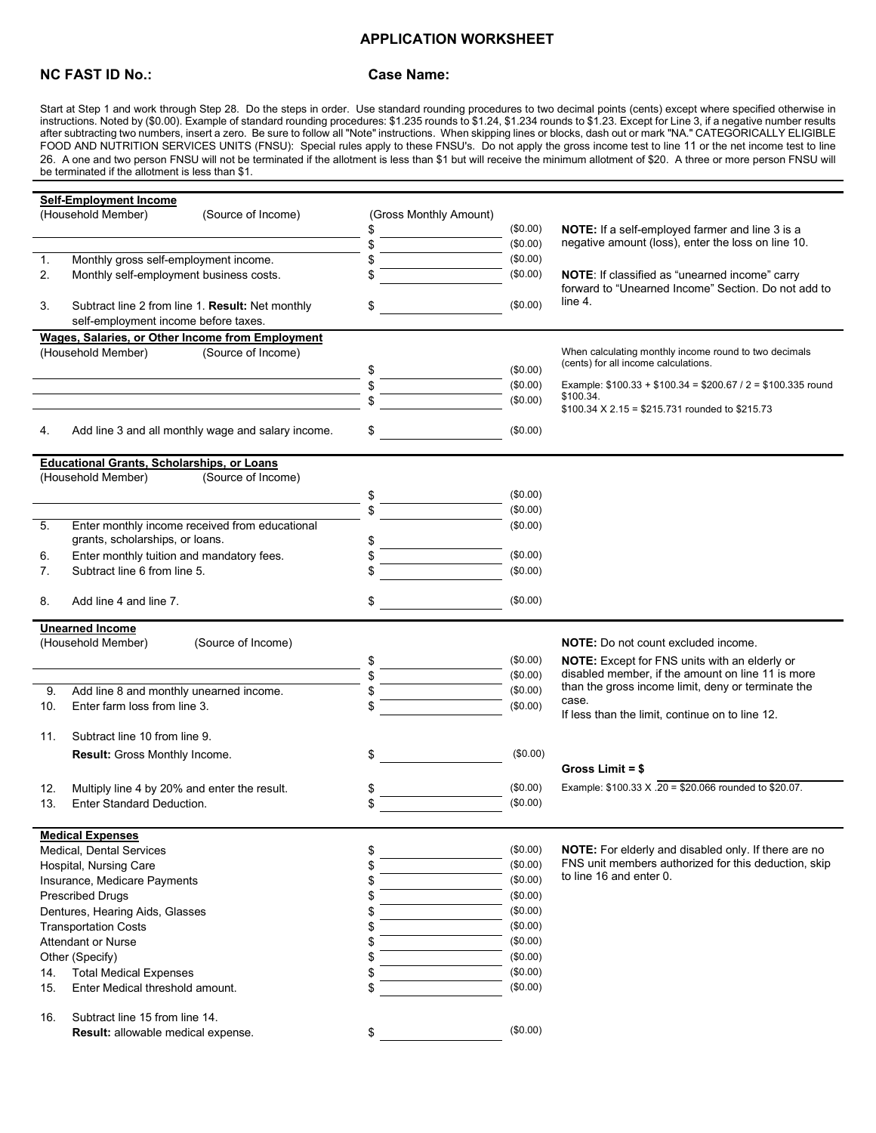## **APPLICATION WORKSHEET**

## **NC FAST ID No.: Case Name:**

Start at Step 1 and work through Step 28. Do the steps in order. Use standard rounding procedures to two decimal points (cents) except where specified otherwise in instructions. Noted by (\$0.00). Example of standard rounding procedures: \$1.235 rounds to \$1.24, \$1.234 rounds to \$1.23. Except for Line 3, if a negative number results after subtracting two numbers, insert a zero. Be sure to follow all "Note" instructions. When skipping lines or blocks, dash out or mark "NA." CATEGORICALLY ELIGIBLE FOOD AND NUTRITION SERVICES UNITS (FNSU): Special rules apply to these FNSU's. Do not apply the gross income test to line 11 or the net income test to line 26. A one and two person FNSU will not be terminated if the allotment is less than \$1 but will receive the minimum allotment of \$20. A three or more person FNSU will be terminated if the allotment is less than \$1.

|                                                   | <b>Self-Employment Income</b>                                           |                                                    |                        |                      |                                                                                                              |  |  |  |  |
|---------------------------------------------------|-------------------------------------------------------------------------|----------------------------------------------------|------------------------|----------------------|--------------------------------------------------------------------------------------------------------------|--|--|--|--|
|                                                   | (Household Member)                                                      | (Source of Income)                                 | (Gross Monthly Amount) |                      |                                                                                                              |  |  |  |  |
|                                                   |                                                                         |                                                    | \$                     | (\$0.00)             | <b>NOTE:</b> If a self-employed farmer and line 3 is a                                                       |  |  |  |  |
|                                                   |                                                                         |                                                    | \$                     | (\$0.00)             | negative amount (loss), enter the loss on line 10.                                                           |  |  |  |  |
| 1.                                                | Monthly gross self-employment income.                                   |                                                    | \$                     | (\$0.00)             |                                                                                                              |  |  |  |  |
| 2.                                                | Monthly self-employment business costs.                                 |                                                    |                        | (\$0.00)             | NOTE: If classified as "unearned income" carry                                                               |  |  |  |  |
|                                                   |                                                                         |                                                    |                        |                      | forward to "Unearned Income" Section. Do not add to                                                          |  |  |  |  |
| 3.                                                |                                                                         | Subtract line 2 from line 1. Result: Net monthly   | \$                     | (\$0.00)             | line 4.                                                                                                      |  |  |  |  |
|                                                   | self-employment income before taxes.                                    |                                                    |                        |                      |                                                                                                              |  |  |  |  |
|                                                   |                                                                         | Wages, Salaries, or Other Income from Employment   |                        |                      |                                                                                                              |  |  |  |  |
|                                                   | (Household Member)                                                      | (Source of Income)                                 |                        |                      | When calculating monthly income round to two decimals                                                        |  |  |  |  |
|                                                   |                                                                         |                                                    |                        | (\$0.00)             | (cents) for all income calculations.                                                                         |  |  |  |  |
|                                                   |                                                                         |                                                    |                        | (\$0.00)             | Example: $$100.33 + $100.34 = $200.67 / 2 = $100.335$ round                                                  |  |  |  |  |
|                                                   |                                                                         |                                                    |                        | (\$0.00)             | \$100.34.                                                                                                    |  |  |  |  |
|                                                   |                                                                         |                                                    |                        |                      | \$100.34 X 2.15 = \$215.731 rounded to \$215.73                                                              |  |  |  |  |
| 4.                                                |                                                                         | Add line 3 and all monthly wage and salary income. |                        | (\$0.00)             |                                                                                                              |  |  |  |  |
| <b>Educational Grants, Scholarships, or Loans</b> |                                                                         |                                                    |                        |                      |                                                                                                              |  |  |  |  |
|                                                   | (Household Member)                                                      | (Source of Income)                                 |                        |                      |                                                                                                              |  |  |  |  |
|                                                   |                                                                         |                                                    |                        | $(\$0.00)$           |                                                                                                              |  |  |  |  |
|                                                   |                                                                         |                                                    |                        | (\$0.00)             |                                                                                                              |  |  |  |  |
| 5.                                                |                                                                         | Enter monthly income received from educational     |                        | (\$0.00)             |                                                                                                              |  |  |  |  |
|                                                   | grants, scholarships, or loans.                                         |                                                    | \$                     |                      |                                                                                                              |  |  |  |  |
| 6.                                                | Enter monthly tuition and mandatory fees.                               |                                                    |                        | (\$0.00)             |                                                                                                              |  |  |  |  |
| 7.                                                | Subtract line 6 from line 5.                                            |                                                    |                        | (\$0.00)             |                                                                                                              |  |  |  |  |
|                                                   |                                                                         |                                                    |                        |                      |                                                                                                              |  |  |  |  |
| 8.                                                | Add line 4 and line 7.                                                  |                                                    | \$                     | (\$0.00)             |                                                                                                              |  |  |  |  |
| <b>Unearned Income</b>                            |                                                                         |                                                    |                        |                      |                                                                                                              |  |  |  |  |
|                                                   |                                                                         |                                                    |                        |                      |                                                                                                              |  |  |  |  |
|                                                   | (Household Member)                                                      | (Source of Income)                                 |                        |                      | <b>NOTE:</b> Do not count excluded income.                                                                   |  |  |  |  |
|                                                   |                                                                         |                                                    |                        | $(\$0.00)$           |                                                                                                              |  |  |  |  |
|                                                   |                                                                         |                                                    |                        |                      | <b>NOTE:</b> Except for FNS units with an elderly or<br>disabled member, if the amount on line 11 is more    |  |  |  |  |
|                                                   |                                                                         |                                                    |                        | (\$0.00)<br>(\$0.00) | than the gross income limit, deny or terminate the                                                           |  |  |  |  |
| 9.<br>10.                                         | Add line 8 and monthly unearned income.<br>Enter farm loss from line 3. |                                                    |                        | (\$0.00)             | case.                                                                                                        |  |  |  |  |
|                                                   |                                                                         |                                                    |                        |                      | If less than the limit, continue on to line 12.                                                              |  |  |  |  |
| 11.                                               | Subtract line 10 from line 9.                                           |                                                    |                        |                      |                                                                                                              |  |  |  |  |
|                                                   |                                                                         |                                                    |                        |                      |                                                                                                              |  |  |  |  |
|                                                   | Result: Gross Monthly Income.                                           |                                                    | \$                     | (\$0.00)             |                                                                                                              |  |  |  |  |
|                                                   |                                                                         |                                                    |                        |                      | Gross Limit $=$ \$                                                                                           |  |  |  |  |
| 12.                                               | Multiply line 4 by 20% and enter the result.                            |                                                    | \$                     | (\$0.00)             | Example: \$100.33 X .20 = \$20.066 rounded to \$20.07.                                                       |  |  |  |  |
| 13.                                               | <b>Enter Standard Deduction.</b>                                        |                                                    |                        | (\$0.00)             |                                                                                                              |  |  |  |  |
|                                                   |                                                                         |                                                    |                        |                      |                                                                                                              |  |  |  |  |
|                                                   | <b>Medical Expenses</b>                                                 |                                                    |                        | (\$0.00)             |                                                                                                              |  |  |  |  |
|                                                   | Medical, Dental Services                                                |                                                    | \$<br>\$               | (\$0.00)             | NOTE: For elderly and disabled only. If there are no<br>FNS unit members authorized for this deduction, skip |  |  |  |  |
|                                                   | Hospital, Nursing Care                                                  |                                                    |                        |                      | to line 16 and enter 0.                                                                                      |  |  |  |  |
|                                                   | Insurance, Medicare Payments                                            |                                                    |                        | (\$0.00)             |                                                                                                              |  |  |  |  |
|                                                   | <b>Prescribed Drugs</b>                                                 |                                                    |                        | (\$0.00)             |                                                                                                              |  |  |  |  |
|                                                   | Dentures, Hearing Aids, Glasses                                         |                                                    |                        | (\$0.00)             |                                                                                                              |  |  |  |  |
|                                                   | <b>Transportation Costs</b>                                             |                                                    |                        | (\$0.00)             |                                                                                                              |  |  |  |  |
|                                                   | <b>Attendant or Nurse</b>                                               |                                                    |                        | (\$0.00)             |                                                                                                              |  |  |  |  |
|                                                   | Other (Specify)                                                         |                                                    |                        | (\$0.00)             |                                                                                                              |  |  |  |  |
| 14.                                               | <b>Total Medical Expenses</b>                                           |                                                    | \$                     | (\$0.00)             |                                                                                                              |  |  |  |  |
| 15.                                               | Enter Medical threshold amount.                                         |                                                    | \$                     | (\$0.00)             |                                                                                                              |  |  |  |  |
| 16.                                               | Subtract line 15 from line 14.                                          |                                                    |                        |                      |                                                                                                              |  |  |  |  |